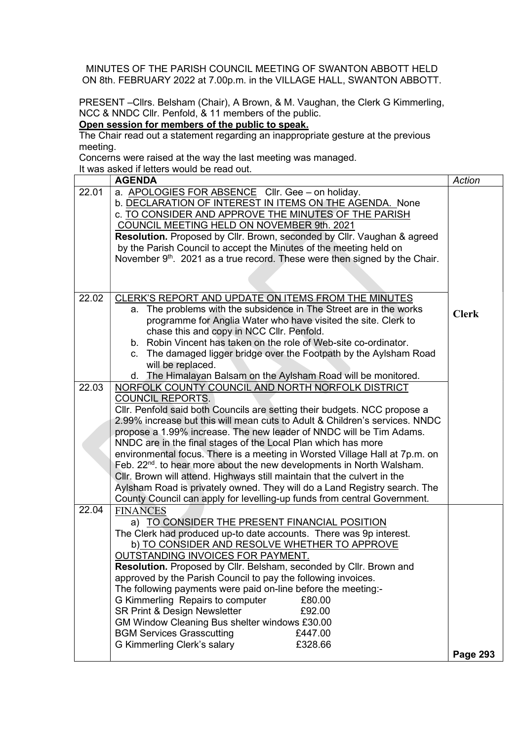MINUTES OF THE PARISH COUNCIL MEETING OF SWANTON ABBOTT HELD ON 8th. FEBRUARY 2022 at 7.00p.m. in the VILLAGE HALL, SWANTON ABBOTT.

PRESENT –Cllrs. Belsham (Chair), A Brown, & M. Vaughan, the Clerk G Kimmerling, NCC & NNDC Cllr. Penfold, & 11 members of the public.

## Open session for members of the public to speak.

The Chair read out a statement regarding an inappropriate gesture at the previous meeting.

Concerns were raised at the way the last meeting was managed.

It was asked if letters would be read out.

|       | <b>AGENDA</b>                                                                                                                                                                                                                                                                                                                                                                                                                                                                                                                                                                                                                                                                                                                                                                             | Action          |
|-------|-------------------------------------------------------------------------------------------------------------------------------------------------------------------------------------------------------------------------------------------------------------------------------------------------------------------------------------------------------------------------------------------------------------------------------------------------------------------------------------------------------------------------------------------------------------------------------------------------------------------------------------------------------------------------------------------------------------------------------------------------------------------------------------------|-----------------|
| 22.01 | a. APOLOGIES FOR ABSENCE CIIr. Gee - on holiday.<br>b. DECLARATION OF INTEREST IN ITEMS ON THE AGENDA. None<br>c. TO CONSIDER AND APPROVE THE MINUTES OF THE PARISH<br>COUNCIL MEETING HELD ON NOVEMBER 9th. 2021<br>Resolution. Proposed by Cllr. Brown, seconded by Cllr. Vaughan & agreed<br>by the Parish Council to accept the Minutes of the meeting held on<br>November 9 <sup>th</sup> . 2021 as a true record. These were then signed by the Chair.                                                                                                                                                                                                                                                                                                                              |                 |
|       |                                                                                                                                                                                                                                                                                                                                                                                                                                                                                                                                                                                                                                                                                                                                                                                           |                 |
| 22.02 | CLERK'S REPORT AND UPDATE ON ITEMS FROM THE MINUTES<br>a. The problems with the subsidence in The Street are in the works<br>programme for Anglia Water who have visited the site. Clerk to<br>chase this and copy in NCC CIIr. Penfold.<br>b. Robin Vincent has taken on the role of Web-site co-ordinator.<br>c. The damaged ligger bridge over the Footpath by the Aylsham Road<br>will be replaced.                                                                                                                                                                                                                                                                                                                                                                                   | <b>Clerk</b>    |
|       | d. The Himalayan Balsam on the Aylsham Road will be monitored.                                                                                                                                                                                                                                                                                                                                                                                                                                                                                                                                                                                                                                                                                                                            |                 |
| 22.03 | NORFOLK COUNTY COUNCIL AND NORTH NORFOLK DISTRICT<br><b>COUNCIL REPORTS.</b><br>Cllr. Penfold said both Councils are setting their budgets. NCC propose a<br>2.99% increase but this will mean cuts to Adult & Children's services. NNDC<br>propose a 1.99% increase. The new leader of NNDC will be Tim Adams.<br>NNDC are in the final stages of the Local Plan which has more<br>environmental focus. There is a meeting in Worsted Village Hall at 7p.m. on<br>Feb. 22 <sup>nd</sup> . to hear more about the new developments in North Walsham.<br>Cllr. Brown will attend. Highways still maintain that the culvert in the<br>Aylsham Road is privately owned. They will do a Land Registry search. The<br>County Council can apply for levelling-up funds from central Government. |                 |
| 22.04 | <b>FINANCES</b><br>a) TO CONSIDER THE PRESENT FINANCIAL POSITION<br>The Clerk had produced up-to date accounts. There was 9p interest.<br>b) TO CONSIDER AND RESOLVE WHETHER TO APPROVE<br><b>OUTSTANDING INVOICES FOR PAYMENT.</b><br>Resolution. Proposed by Cllr. Belsham, seconded by Cllr. Brown and<br>approved by the Parish Council to pay the following invoices.<br>The following payments were paid on-line before the meeting:-<br>G Kimmerling Repairs to computer<br>£80.00<br>SR Print & Design Newsletter<br>£92.00<br>GM Window Cleaning Bus shelter windows £30.00<br><b>BGM Services Grasscutting</b><br>£447.00<br>G Kimmerling Clerk's salary<br>£328.66                                                                                                             |                 |
|       |                                                                                                                                                                                                                                                                                                                                                                                                                                                                                                                                                                                                                                                                                                                                                                                           | <b>Page 293</b> |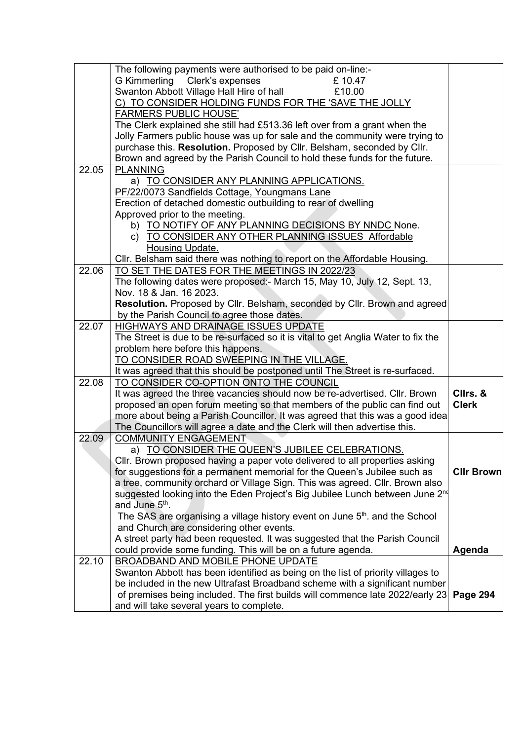|       | The following payments were authorised to be paid on-line:-                              |                   |
|-------|------------------------------------------------------------------------------------------|-------------------|
|       | G Kimmerling Clerk's expenses<br>£10.47                                                  |                   |
|       | Swanton Abbott Village Hall Hire of hall<br>£10.00                                       |                   |
|       | C) TO CONSIDER HOLDING FUNDS FOR THE 'SAVE THE JOLLY                                     |                   |
|       | <b>FARMERS PUBLIC HOUSE'</b>                                                             |                   |
|       | The Clerk explained she still had £513.36 left over from a grant when the                |                   |
|       | Jolly Farmers public house was up for sale and the community were trying to              |                   |
|       | purchase this. Resolution. Proposed by Cllr. Belsham, seconded by Cllr.                  |                   |
|       | Brown and agreed by the Parish Council to hold these funds for the future.               |                   |
| 22.05 | <b>PLANNING</b>                                                                          |                   |
|       | a) TO CONSIDER ANY PLANNING APPLICATIONS.                                                |                   |
|       | PF/22/0073 Sandfields Cottage, Youngmans Lane                                            |                   |
|       | Erection of detached domestic outbuilding to rear of dwelling                            |                   |
|       | Approved prior to the meeting.                                                           |                   |
|       | b) TO NOTIFY OF ANY PLANNING DECISIONS BY NNDC None.                                     |                   |
|       | c) TO CONSIDER ANY OTHER PLANNING ISSUES Affordable                                      |                   |
|       | Housing Update.                                                                          |                   |
|       | Cllr. Belsham said there was nothing to report on the Affordable Housing.                |                   |
| 22.06 | TO SET THE DATES FOR THE MEETINGS IN 2022/23                                             |                   |
|       | The following dates were proposed:- March 15, May 10, July 12, Sept. 13,                 |                   |
|       | Nov. 18 & Jan. 16 2023.                                                                  |                   |
|       | Resolution. Proposed by Cllr. Belsham, seconded by Cllr. Brown and agreed                |                   |
|       | by the Parish Council to agree those dates.                                              |                   |
| 22.07 | HIGHWAYS AND DRAINAGE ISSUES UPDATE                                                      |                   |
|       | The Street is due to be re-surfaced so it is vital to get Anglia Water to fix the        |                   |
|       | problem here before this happens.                                                        |                   |
|       | TO CONSIDER ROAD SWEEPING IN THE VILLAGE.                                                |                   |
|       | It was agreed that this should be postponed until The Street is re-surfaced.             |                   |
| 22.08 | TO CONSIDER CO-OPTION ONTO THE COUNCIL                                                   |                   |
|       | It was agreed the three vacancies should now be re-advertised. Cllr. Brown               | Cllrs. &          |
|       | proposed an open forum meeting so that members of the public can find out                | <b>Clerk</b>      |
|       | more about being a Parish Councillor. It was agreed that this was a good idea            |                   |
|       | The Councillors will agree a date and the Clerk will then advertise this.                |                   |
| 22.09 | <b>COMMUNITY ENGAGEMENT</b>                                                              |                   |
|       | a) TO CONSIDER THE QUEEN'S JUBILEE CELEBRATIONS.                                         |                   |
|       | CIIr. Brown proposed having a paper vote delivered to all properties asking              |                   |
|       | for suggestions for a permanent memorial for the Queen's Jubilee such as                 | <b>Cllr Brown</b> |
|       | a tree, community orchard or Village Sign. This was agreed. Cllr. Brown also             |                   |
|       | suggested looking into the Eden Project's Big Jubilee Lunch between June 2 <sup>nd</sup> |                   |
|       | and June 5 <sup>th</sup> .                                                               |                   |
|       | The SAS are organising a village history event on June 5 <sup>th</sup> , and the School  |                   |
|       | and Church are considering other events.                                                 |                   |
|       | A street party had been requested. It was suggested that the Parish Council              |                   |
|       | could provide some funding. This will be on a future agenda.                             |                   |
|       |                                                                                          | Agenda            |
| 22.10 | <b>BROADBAND AND MOBILE PHONE UPDATE</b>                                                 |                   |
|       | Swanton Abbott has been identified as being on the list of priority villages to          |                   |
|       | be included in the new Ultrafast Broadband scheme with a significant number              |                   |
|       | of premises being included. The first builds will commence late 2022/early 23            | <b>Page 294</b>   |
|       | and will take several years to complete.                                                 |                   |